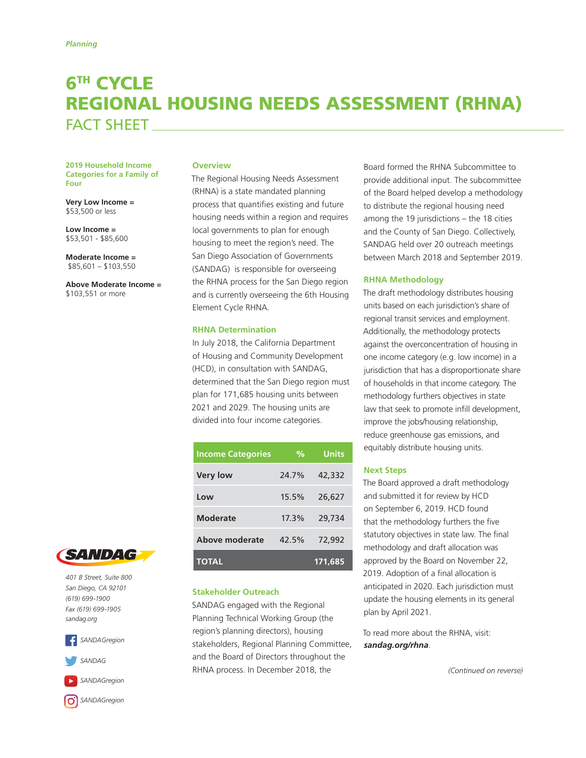# 6TH CYCLE REGIONAL HOUSING NEEDS ASSESSMENT (RHNA) FACT SHEFT

**2019 Household Income Categories for a Family of Four** 

**Very Low Income =**  \$53,500 or less

**Low Income =** \$53,501 - \$85,600

**Moderate Income =** \$85,601 – \$103,550

**Above Moderate Income =**  \$103,551 or more

# **Overview**

The Regional Housing Needs Assessment (RHNA) is a state mandated planning process that quantifies existing and future housing needs within a region and requires local governments to plan for enough housing to meet the region's need. The San Diego Association of Governments (SANDAG) is responsible for overseeing the RHNA process for the San Diego region and is currently overseeing the 6th Housing Element Cycle RHNA.

## **RHNA Determination**

In July 2018, the California Department of Housing and Community Development (HCD), in consultation with SANDAG, determined that the San Diego region must plan for 171,685 housing units between 2021 and 2029. The housing units are divided into four income categories.

| <b>Income Categories</b> | %     | <b>Units</b> |
|--------------------------|-------|--------------|
| <b>Very low</b>          | 24.7% | 42,332       |
| Low                      | 15.5% | 26,627       |
| Moderate                 | 17.3% | 29,734       |
| Above moderate           | 42.5% | 72,992       |
| TOTAL                    |       | 171.685      |

#### **Stakeholder Outreach**

SANDAG engaged with the Regional Planning Technical Working Group (the region's planning directors), housing stakeholders, Regional Planning Committee, and the Board of Directors throughout the RHNA process. In December 2018, the

Board formed the RHNA Subcommittee to provide additional input. The subcommittee of the Board helped develop a methodology to distribute the regional housing need among the 19 jurisdictions – the 18 cities and the County of San Diego. Collectively, SANDAG held over 20 outreach meetings between March 2018 and September 2019.

#### **RHNA Methodology**

The draft methodology distributes housing units based on each jurisdiction's share of regional transit services and employment. Additionally, the methodology protects against the overconcentration of housing in one income category (e.g. low income) in a jurisdiction that has a disproportionate share of households in that income category. The methodology furthers objectives in state law that seek to promote infill development, improve the jobs/housing relationship, reduce greenhouse gas emissions, and equitably distribute housing units.

## **Next Steps**

The Board approved a draft methodology and submitted it for review by HCD on September 6, 2019. HCD found that the methodology furthers the five statutory objectives in state law. The final methodology and draft allocation was approved by the Board on November 22, 2019. Adoption of a final allocation is anticipated in 2020. Each jurisdiction must update the housing elements in its general plan by April 2021.

To read more about the RHNA, visit: *[sandag.org/r](https://www.sandag.org/index.asp?projectid=189&fuseaction=projects.detail)hna*.

*(Continued on reverse)*



*401 B Street, Suite 800 San Diego, CA 92101 (619) 699-1900 Fax (619) 699-1905 sandag.org*





*[SANDAGregion](https://www.youtube.com/user/SANDAGREGION?ob=0&feature=results_main)*

*SANDAGregion*